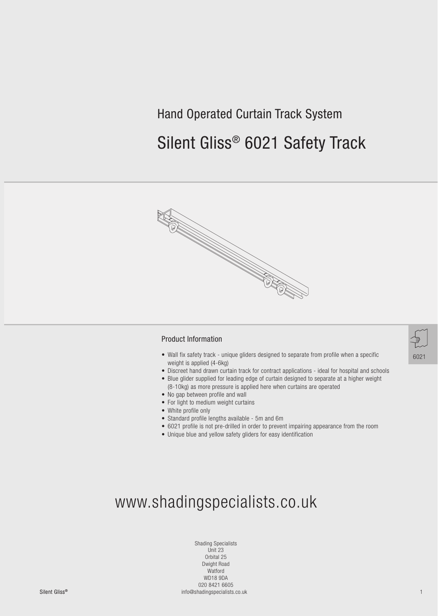## Hand Operated Curtain Track System

# Silent Gliss® 6021 Safety Track



#### Product Information

- Wall fix safety track unique gliders designed to separate from profile when a specific weight is applied (4-6kg)
- Discreet hand drawn curtain track for contract applications ideal for hospital and schools
- Blue glider supplied for leading edge of curtain designed to separate at a higher weight (8-10kg) as more pressure is applied here when curtains are operated
- No gap between profile and wall
- For light to medium weight curtains
- White profile only
- Standard profile lengths available 5m and 6m
- 6021 profile is not pre-drilled in order to prevent impairing appearance from the room
- Unique blue and yellow safety gliders for easy identification



Silent GlissSilent Gliss® 1 info@shadingspecialists.co.uk Shading Specialists Unit 23 Orbital 25 Dwight Road Watford WD18 9DA 020 8421 6605

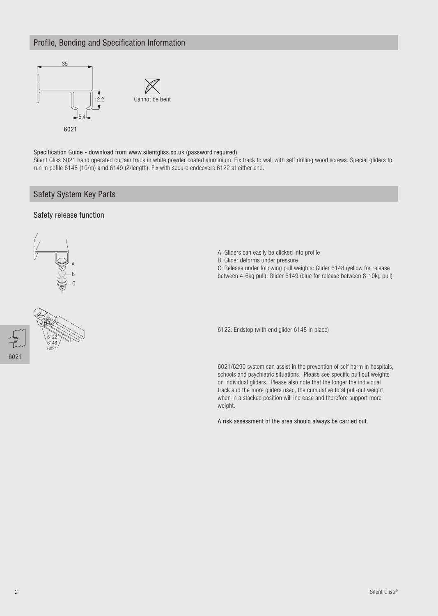## Profile, Bending and Specification Information



Specification Guide - download from www.silentgliss.co.uk (password required).

Silent Gliss 6021 hand operated curtain track in white powder coated aluminium. Fix track to wall with self drilling wood screws. Special gliders to run in pofile 6148 (10/m) amd 6149 (2/length). Fix with secure endcovers 6122 at either end.

## Safety System Key Parts

#### Safety release function





- A: Gliders can easily be clicked into profile
- B: Glider deforms under pressure

C: Release under following pull weights: Glider 6148 (yellow for release between 4-6kg pull); Glider 6149 (blue for release between 8-10kg pull)

6122: Endstop (with end glider 6148 in place)

6021/6290 system can assist in the prevention of self harm in hospitals, schools and psychiatric situations. Please see specific pull out weights on individual gliders. Please also note that the longer the individual track and the more gliders used, the cumulative total pull-out weight when in a stacked position will increase and therefore support more weight.

A risk assessment of the area should always be carried out.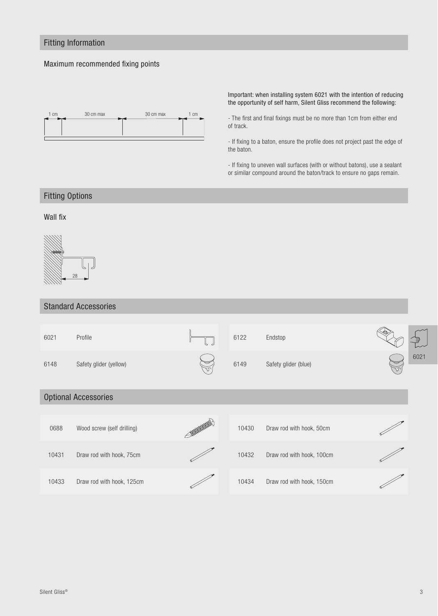## Fitting Information

### Maximum recommended fixing points



Important: when installing system 6021 with the intention of reducing the opportunity of self harm, Silent Gliss recommend the following:

- The first and final fixings must be no more than 1cm from either end of track.

- If fixing to a baton, ensure the profile does not project past the edge of the baton.

- If fixing to uneven wall surfaces (with or without batons), use a sealant or similar compound around the baton/track to ensure no gaps remain.

## Fitting Options

## Wall fix



### Standard Accessories

| 6021                        | Profile                    |  | 6122  | Endstop                   |  |      |
|-----------------------------|----------------------------|--|-------|---------------------------|--|------|
| 6148                        | Safety glider (yellow)     |  | 6149  | Safety glider (blue)      |  | 6021 |
| <b>Optional Accessories</b> |                            |  |       |                           |  |      |
|                             |                            |  |       |                           |  |      |
| 0688                        | Wood screw (self drilling) |  | 10430 | Draw rod with hook, 50cm  |  |      |
| 10431                       | Draw rod with hook, 75cm   |  | 10432 | Draw rod with hook, 100cm |  |      |
| 10433                       | Draw rod with hook, 125cm  |  | 10434 | Draw rod with hook, 150cm |  |      |